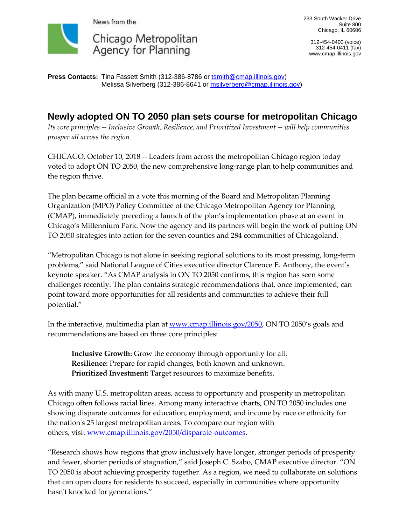

233 South Wacker Drive Suite 800 Chicago, IL 60606

312-454-0400 (voice) 312-454-0411 (fax) www.cmap.illinois.gov

**Press Contacts:** Tina Fassett Smith (312-386-8786 or [tsmith@cmap.illinois.gov\)](mailto:tsmith@cmap.illinois.gov) Melissa Silverberg (312-386-8641 or msilverberg@cmap.illinois.gov)

## **Newly adopted ON TO 2050 plan sets course for metropolitan Chicago**

*Its core principles -- Inclusive Growth, Resilience, and Prioritized Investment -- will help communities prosper all across the region*

CHICAGO, October 10, 2018 -- Leaders from across the metropolitan Chicago region today voted to adopt ON TO 2050, the new comprehensive long-range plan to help communities and the region thrive.

The plan became official in a vote this morning of the Board and Metropolitan Planning Organization (MPO) Policy Committee of the Chicago Metropolitan Agency for Planning (CMAP), immediately preceding a launch of the plan's implementation phase at an event in Chicago's Millennium Park. Now the agency and its partners will begin the work of putting ON TO 2050 strategies into action for the seven counties and 284 communities of Chicagoland.

"Metropolitan Chicago is not alone in seeking regional solutions to its most pressing, long-term problems," said National League of Cities executive director Clarence E. Anthony, the event's keynote speaker. "As CMAP analysis in ON TO 2050 confirms, this region has seen some challenges recently. The plan contains strategic recommendations that, once implemented, can point toward more opportunities for all residents and communities to achieve their full potential."

In the interactive, multimedia plan at [www.cmap.illinois.gov/2050,](http://www.cmap.illinois.gov/2050) ON TO 2050's goals and recommendations are based on three core principles:

**Inclusive Growth:** Grow the economy through opportunity for all. **Resilience:** Prepare for rapid changes, both known and unknown. **Prioritized Investment:** Target resources to maximize benefits.

As with many U.S. metropolitan areas, access to opportunity and prosperity in metropolitan Chicago often follows racial lines. Among many interactive charts, ON TO 2050 includes one showing disparate outcomes for education, employment, and income by race or ethnicity for the nation's 25 largest metropolitan areas. To compare our region with others, visit [www.cmap.illinois.gov/2050/disparate-outcomes.](http://www.cmap.illinois.gov/2050/disparate-outcomes)

"Research shows how regions that grow inclusively have longer, stronger periods of prosperity and fewer, shorter periods of stagnation," said Joseph C. Szabo, CMAP executive director. "ON TO 2050 is about achieving prosperity together. As a region, we need to collaborate on solutions that can open doors for residents to succeed, especially in communities where opportunity hasn't knocked for generations."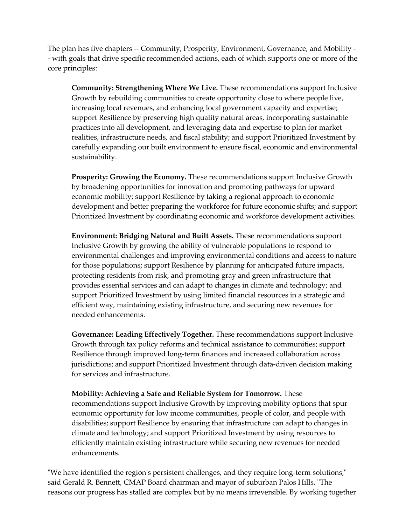The plan has five chapters -- Community, Prosperity, Environment, Governance, and Mobility - - with goals that drive specific recommended actions, each of which supports one or more of the core principles:

**Community: Strengthening Where We Live.** These recommendations support Inclusive Growth by rebuilding communities to create opportunity close to where people live, increasing local revenues, and enhancing local government capacity and expertise; support Resilience by preserving high quality natural areas, incorporating sustainable practices into all development, and leveraging data and expertise to plan for market realities, infrastructure needs, and fiscal stability; and support Prioritized Investment by carefully expanding our built environment to ensure fiscal, economic and environmental sustainability.

**Prosperity: Growing the Economy.** These recommendations support Inclusive Growth by broadening opportunities for innovation and promoting pathways for upward economic mobility; support Resilience by taking a regional approach to economic development and better preparing the workforce for future economic shifts; and support Prioritized Investment by coordinating economic and workforce development activities.

**Environment: Bridging Natural and Built Assets.** These recommendations support Inclusive Growth by growing the ability of vulnerable populations to respond to environmental challenges and improving environmental conditions and access to nature for those populations; support Resilience by planning for anticipated future impacts, protecting residents from risk, and promoting gray and green infrastructure that provides essential services and can adapt to changes in climate and technology; and support Prioritized Investment by using limited financial resources in a strategic and efficient way, maintaining existing infrastructure, and securing new revenues for needed enhancements.

**Governance: Leading Effectively Together.** These recommendations support Inclusive Growth through tax policy reforms and technical assistance to communities; support Resilience through improved long-term finances and increased collaboration across jurisdictions; and support Prioritized Investment through data-driven decision making for services and infrastructure.

**Mobility: Achieving a Safe and Reliable System for Tomorrow.** These recommendations support Inclusive Growth by improving mobility options that spur economic opportunity for low income communities, people of color, and people with disabilities; support Resilience by ensuring that infrastructure can adapt to changes in climate and technology; and support Prioritized Investment by using resources to efficiently maintain existing infrastructure while securing new revenues for needed enhancements.

"We have identified the region's persistent challenges, and they require long-term solutions," said Gerald R. Bennett, CMAP Board chairman and mayor of suburban Palos Hills. "The reasons our progress has stalled are complex but by no means irreversible. By working together